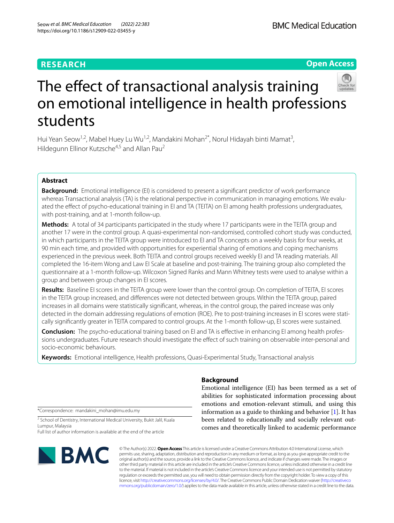## **RESEARCH**

**Open Access**



# The effect of transactional analysis training on emotional intelligence in health professions students

Hui Yean Seow<sup>1,2</sup>, Mabel Huey Lu Wu<sup>1,2</sup>, Mandakini Mohan<sup>2\*</sup>, Norul Hidayah binti Mamat<sup>3</sup>, Hildegunn Ellinor Kutzsche<sup>4,5</sup> and Allan Pau<sup>2</sup>

## **Abstract**

**Background:** Emotional intelligence (EI) is considered to present a significant predictor of work performance whereas Transactional analysis (TA) is the relational perspective in communication in managing emotions. We evaluated the efect of psycho-educational training in EI and TA (TEITA) on EI among health professions undergraduates, with post-training, and at 1-month follow-up.

**Methods:** A total of 34 participants participated in the study where 17 participants were in the TEITA group and another 17 were in the control group. A quasi-experimental non-randomised, controlled cohort study was conducted, in which participants in the TEITA group were introduced to EI and TA concepts on a weekly basis for four weeks, at 90 min each time, and provided with opportunities for experiential sharing of emotions and coping mechanisms experienced in the previous week. Both TEITA and control groups received weekly EI and TA reading materials. All completed the 16-item Wong and Law EI Scale at baseline and post-training. The training group also completed the questionnaire at a 1-month follow-up. Wilcoxon Signed Ranks and Mann Whitney tests were used to analyse within a group and between group changes in EI scores.

**Results:** Baseline EI scores in the TEITA group were lower than the control group. On completion of TEITA, EI scores in the TEITA group increased, and diferences were not detected between groups. Within the TEITA group, paired increases in all domains were statistically signifcant, whereas, in the control group, the paired increase was only detected in the domain addressing regulations of emotion (ROE). Pre to post-training increases in EI scores were statically signifcantly greater in TEITA compared to control groups. At the 1-month follow-up, EI scores were sustained.

**Conclusion:** The psycho-educational training based on EI and TA is effective in enhancing EI among health professions undergraduates. Future research should investigate the effect of such training on observable inter-personal and socio-economic behaviours.

**Keywords:** Emotional intelligence, Health professions, Quasi-Experimental Study, Transactional analysis

\*Correspondence: mandakini\_mohan@imu.edu.my

<sup>2</sup> School of Dentistry, International Medical University, Bukit Jalil, Kuala Lumpur, Malaysia

Full list of author information is available at the end of the article



## **Background**

Emotional intelligence (EI) has been termed as a set of abilities for sophisticated information processing about emotions and emotion-relevant stimuli, and using this information as a guide to thinking and behavior  $[1]$  $[1]$ . It has been related to educationally and socially relevant outcomes and theoretically linked to academic performance

© The Author(s) 2022. **Open Access** This article is licensed under a Creative Commons Attribution 4.0 International License, which permits use, sharing, adaptation, distribution and reproduction in any medium or format, as long as you give appropriate credit to the original author(s) and the source, provide a link to the Creative Commons licence, and indicate if changes were made. The images or other third party material in this article are included in the article's Creative Commons licence, unless indicated otherwise in a credit line to the material. If material is not included in the article's Creative Commons licence and your intended use is not permitted by statutory regulation or exceeds the permitted use, you will need to obtain permission directly from the copyright holder. To view a copy of this licence, visit [http://creativecommons.org/licenses/by/4.0/.](http://creativecommons.org/licenses/by/4.0/) The Creative Commons Public Domain Dedication waiver ([http://creativeco](http://creativecommons.org/publicdomain/zero/1.0/) [mmons.org/publicdomain/zero/1.0/](http://creativecommons.org/publicdomain/zero/1.0/)) applies to the data made available in this article, unless otherwise stated in a credit line to the data.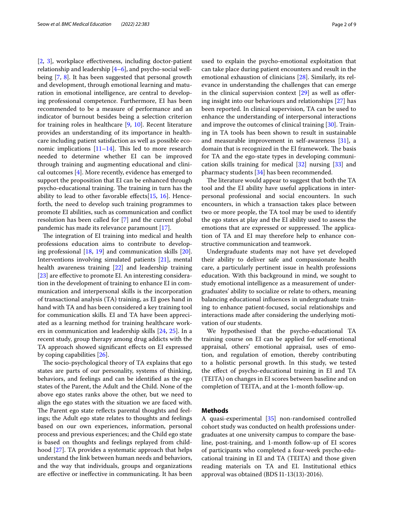[[2,](#page-7-1) [3\]](#page-7-2), workplace efectiveness, including doctor-patient relationship and leadership  $[4-6]$  $[4-6]$  $[4-6]$ , and psycho-social wellbeing [[7,](#page-7-5) [8](#page-7-6)]. It has been suggested that personal growth and development, through emotional learning and maturation in emotional intelligence, are central to developing professional competence. Furthermore, EI has been recommended to be a measure of performance and an indicator of burnout besides being a selection criterion for training roles in healthcare [[9,](#page-7-7) [10](#page-7-8)]. Recent literature provides an understanding of its importance in healthcare including patient satisfaction as well as possible economic implications  $[11–14]$  $[11–14]$  $[11–14]$ . This led to more research needed to determine whether EI can be improved through training and augmenting educational and clinical outcomes [[4\]](#page-7-3). More recently, evidence has emerged to support the proposition that EI can be enhanced through psycho-educational training. The training in turn has the ability to lead to other favorable efects[\[15,](#page-7-11) [16\]](#page-7-12). Henceforth, the need to develop such training programmes to promote EI abilities, such as communication and confict resolution has been called for [\[7](#page-7-5)] and the current global pandemic has made its relevance paramount [[17\]](#page-7-13).

The integration of EI training into medical and health professions education aims to contribute to developing professional [\[18,](#page-7-14) [19\]](#page-7-15) and communication skills [\[20](#page-7-16)]. Interventions involving simulated patients [[21](#page-7-17)], mental health awareness training [[22](#page-7-18)] and leadership training [[23\]](#page-7-19) are effective to promote EI. An interesting consideration in the development of training to enhance EI in communication and interpersonal skills is the incorporation of transactional analysis (TA) training, as EI goes hand in hand with TA and has been considered a key training tool for communication skills*.* EI and TA have been appreciated as a learning method for training healthcare workers in communication and leadership skills [[24,](#page-7-20) [25\]](#page-7-21). In a recent study, group therapy among drug addicts with the TA approach showed signifcant efects on EI expressed by coping capabilities [[26\]](#page-7-22).

The socio-psychological theory of TA explains that ego states are parts of our personality, systems of thinking, behaviors, and feelings and can be identifed as the ego states of the Parent, the Adult and the Child. None of the above ego states ranks above the other, but we need to align the ego states with the situation we are faced with. The Parent ego state reflects parental thoughts and feelings; the Adult ego state relates to thoughts and feelings based on our own experiences, information, personal process and previous experiences; and the Child ego state is based on thoughts and feelings replayed from childhood [\[27\]](#page-7-23). TA provides a systematic approach that helps understand the link between human needs and behaviors, and the way that individuals, groups and organizations are efective or inefective in communicating. It has been used to explain the psycho-emotional exploitation that can take place during patient encounters and result in the emotional exhaustion of clinicians [\[28](#page-7-24)]. Similarly, its relevance in understanding the challenges that can emerge in the clinical supervision context  $[29]$  $[29]$  as well as offering insight into our behaviours and relationships [\[27](#page-7-23)] has been reported. In clinical supervision, TA can be used to enhance the understanding of interpersonal interactions and improve the outcomes of clinical training [\[30](#page-7-26)]. Training in TA tools has been shown to result in sustainable and measurable improvement in self-awareness [\[31](#page-7-27)], a domain that is recognized in the EI framework. The basis for TA and the ego-state types in developing communication skills training for medical [[32\]](#page-7-28) nursing [\[33](#page-7-29)] and pharmacy students [[34\]](#page-7-30) has been recommended.

The literature would appear to suggest that both the TA tool and the EI ability have useful applications in interpersonal professional and social encounters. In such encounters, in which a transaction takes place between two or more people, the TA tool may be used to identify the ego states at play and the EI ability used to assess the emotions that are expressed or suppressed. The application of TA and EI may therefore help to enhance constructive communication and teamwork.

Undergraduate students may not have yet developed their ability to deliver safe and compassionate health care, a particularly pertinent issue in health professions education. With this background in mind, we sought to study emotional intelligence as a measurement of undergraduates' ability to socialize or relate to others, meaning balancing educational infuences in undergraduate training to enhance patient-focused, social relationships and interactions made after considering the underlying motivation of our students.

We hypothesised that the psycho-educational TA training course on EI can be applied for self-emotional appraisal, others' emotional appraisal, uses of emotion, and regulation of emotion, thereby contributing to a holistic personal growth. In this study, we tested the efect of psycho-educational training in EI and TA (TEITA) on changes in EI scores between baseline and on completion of TEITA, and at the 1-month follow-up.

## **Methods**

A quasi-experimental [[35](#page-7-31)] non-randomised controlled cohort study was conducted on health professions undergraduates at one university campus to compare the baseline, post-training, and 1-month follow-up of EI scores of participants who completed a four-week psycho-educational training in EI and TA (TEITA) and those given reading materials on TA and EI. Institutional ethics approval was obtained (BDS I1-13(13)-2016).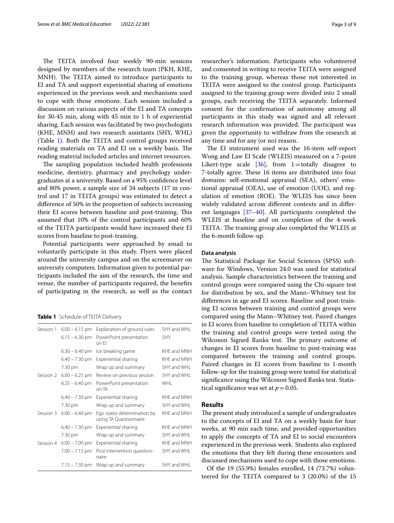The TEITA involved four weekly 90-min sessions designed by members of the research team (PKH, KHE, MNH). The TEITA aimed to introduce participants to EI and TA and support experiential sharing of emotions experienced in the previous week and mechanisms used to cope with those emotions. Each session included a discussion on various aspects of the EI and TA concepts for 30-45 min, along with 45 min to 1 h of experiential sharing. Each session was facilitated by two psychologists (KHE, MNH) and two research assistants (SHY, WHL) (Table [1\)](#page-2-0). Both the TEITA and control groups received reading materials on TA and EI on a weekly basis. The reading material included articles and internet resources.

The sampling population included health professions medicine, dentistry, pharmacy and psychology undergraduates at a university. Based on a 95% confdence level and 80% power, a sample size of 34 subjects (17 in control and 17 in TEITA groups) was estimated to detect a diference of 50% in the proportion of subjects increasing their EI scores between baseline and post-training. This assumed that 10% of the control participants and 60% of the TEITA participants would have increased their EI scores from baseline to post-training.

Potential participants were approached by email to voluntarily participate in this study. Flyers were placed around the university campus and on the screensaver on university computers. Information given to potential participants included the aim of the research, the time and venue, the number of participants required, the benefts of participating in the research, as well as the contact

<span id="page-2-0"></span>**Table 1** Schedule of TEITA Delivery

| Session 1 | $6.00 - 6.15$ pm | Explanation of ground rules                           | SHY and WHL |
|-----------|------------------|-------------------------------------------------------|-------------|
|           | $6.15 - 6.30$ pm | PowerPoint presentation<br>on Fl                      | <b>SHY</b>  |
|           | $6.30 - 6.40$ pm | Ice breaking game                                     | KHF and MNH |
|           | $6.40 - 7.30$ pm | Experiential sharing                                  | KHF and MNH |
|           | 7.30 pm          | Wrap up and summary                                   | SHY and WHL |
| Session 2 | $6.00 - 6.25$ pm | Review on previous session                            | SHY and WHL |
|           | $6.25 - 6.40$ pm | PowerPoint presentation<br>on TA                      | <b>WHL</b>  |
|           | $6.40 - 7.30$ pm | Experiential sharing                                  | KHF and MNH |
|           | 7.30 pm          | Wrap up and summary                                   | SHY and WHL |
| Session 3 | $6.00 - 6.40$ pm | Ego states determination by<br>using TA Questionnaire | KHF and MNH |
|           | $6.40 - 7.30$ pm | Experiential sharing                                  | KHF and MNH |
|           | 7.30 pm          | Wrap up and summary                                   | SHY and WHL |
| Session 4 | $6.00 - 7.00$ pm | Experiential sharing                                  | KHE and MNH |
|           | $7.00 - 7.15$ pm | Post intervention question-<br>naire                  | SHY and WHL |
|           | $7.15 - 7.30$ pm | Wrap up and summary                                   | SHY and WHL |
|           |                  |                                                       |             |

researcher's information. Participants who volunteered and consented in writing to receive TEITA were assigned to the training group, whereas those not interested in TEITA were assigned to the control group. Participants assigned to the training group were divided into 2 small groups, each receiving the TEITA separately. Informed consent for the confrmation of autonomy among all participants in this study was signed and all relevant research information was provided. The participant was given the opportunity to withdraw from the research at any time and for any (or no) reason.

The EI instrument used was the 16-item self-report Wong and Law EI Scale (WLEIS) measured on a 7-point Likert-type scale [\[36](#page-7-32)], from 1=totally disagree to 7-totally agree. These 16 items are distributed into four domains: self-emotional appraisal (SEA), others' emotional appraisal (OEA), use of emotion (UOE), and regulation of emotion (ROE). The WLEIS has since been widely validated across diferent contexts and in diferent languages [[37–](#page-7-33)[40\]](#page-7-34). All participants completed the WLEIS at baseline and on completion of the 4-week TEITA. The training group also completed the WLEIS at the 6-month follow-up.

#### **Data analysis**

The Statistical Package for Social Sciences (SPSS) software for Windows, Version 24.0 was used for statistical analysis. Sample characteristics between the training and control groups were compared using the Chi-square test for distribution by sex, and the Mann–Whitney test for diferences in age and EI scores. Baseline and post-training EI scores between training and control groups were compared using the Mann–Whitney test. Paired changes in EI scores from baseline to completion of TEITA within the training and control groups were tested using the Wilcoxon Signed Ranks test. The primary outcome of changes in EI scores from baseline to post-training was compared between the training and control groups. Paired changes in EI scores from baseline to 1-month follow-up for the training group were tested for statistical signifcance using the Wilcoxon Signed Ranks test. Statistical significance was set at  $p=0.05$ .

## **Results**

The present study introduced a sample of undergraduates to the concepts of EI and TA on a weekly basis for four weeks, at 90 min each time, and provided opportunities to apply the concepts of TA and EI to social encounters experienced in the previous week. Students also explored the emotions that they felt during these encounters and discussed mechanisms used to cope with those emotions.

Of the 19 (55.9%) females enrolled, 14 (73.7%) volunteered for the TEITA compared to 3 (20.0%) of the 15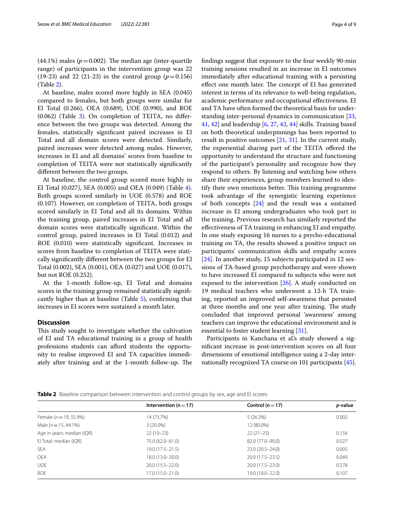(44.1%) males ( $p = 0.002$ ). The median age (inter-quartile range) of participants in the intervention group was 22 (19-23) and 22 (21-23) in the control group ( $p=0.156$ ) (Table [2](#page-3-0)).

At baseline, males scored more highly in SEA (0.045) compared to females, but both groups were similar for EI Total (0.266), OEA (0.689), UOE (0.990), and ROE  $(0.062)$  (Table [3](#page-4-0)). On completion of TEITA, no difference between the two groups was detected. Among the females, statistically signifcant paired increases in EI Total and all domain scores were detected. Similarly, paired increases were detected among males. However, increases in EI and all domains' scores from baseline to completion of TEITA were not statistically signifcantly diferent between the two groups.

At baseline, the control group scored more highly in EI Total (0.027), SEA (0.005) and OEA (0.049) (Table [4](#page-5-0)). Both groups scored similarly in UOE (0.578) and ROE (0.107). However, on completion of TEITA, both groups scored similarly in EI Total and all its domains. Within the training group, paired increases in EI Total and all domain scores were statistically signifcant. Within the control group, paired increases in EI Total (0.012) and ROE (0.010) were statistically signifcant. Increases in scores from baseline to completion of TEITA were statically signifcantly diferent between the two groups for EI Total (0.002), SEA (0.001), OEA (0.027) and UOE (0.017), but not ROE (0.252).

At the 1-month follow-up, EI Total and domains scores in the training group remained statistically signifcantly higher than at baseline (Table [5](#page-6-0)), confrming that increases in EI scores were sustained a month later.

## **Discussion**

This study sought to investigate whether the cultivation of EI and TA educational training in a group of health professions students can aford students the opportunity to realise improved EI and TA capacities immediately after training and at the 1-month follow-up. The fndings suggest that exposure to the four weekly 90-min training sessions resulted in an increase in EI outcomes immediately after educational training with a persisting effect one month later. The concept of EI has generated interest in terms of its relevance to well-being regulation, academic performance and occupational efectiveness. EI and TA have often formed the theoretical basis for understanding inter-personal dynamics in communication [[33](#page-7-29), [41,](#page-7-35) [42\]](#page-7-36) and leadership [\[6](#page-7-4), [27,](#page-7-23) [43,](#page-8-0) [44](#page-8-1)] skills. Training based on both theoretical underpinnings has been reported to result in positive outcomes [[21](#page-7-17), [31](#page-7-27)]. In the current study, the experiential sharing part of the TEITA ofered the opportunity to understand the structure and functioning of the participant's personality and recognize how they respond to others. By listening and watching how others share their experiences, group members learned to identify their own emotions better. This training programme took advantage of the synergistic learning experience of both concepts [\[24\]](#page-7-20) and the result was a sustained increase in EI among undergraduates who took part in the training. Previous research has similarly reported the efectiveness of TA training in enhancing EI and empathy. In one study exposing 16 nurses to a psycho-educational training on TA, the results showed a positive impact on participants' communication skills and empathy scores [[24\]](#page-7-20). In another study, 15 subjects participated in 12 sessions of TA-based group psychotherapy and were shown to have increased EI compared to subjects who were not exposed to the intervention [[26\]](#page-7-22). A study conducted on 19 medical teachers who underwent a 12-h TA training, reported an improved self-awareness that persisted at three months and one year after training. The study concluded that improved personal 'awareness' among teachers can improve the educational environment and is essential to foster student learning [\[31](#page-7-27)].

Participants in Kanchana et al's study showed a signifcant increase in post-intervention scores on all four dimensions of emotional intelligence using a 2-day internationally recognized TA course on 101 participants [\[45](#page-8-2)].

<span id="page-3-0"></span>

|  |  | Table 2 Baseline comparison between intervention and control groups by sex, age and El scores |  |  |  |  |  |  |  |  |  |  |  |  |  |
|--|--|-----------------------------------------------------------------------------------------------|--|--|--|--|--|--|--|--|--|--|--|--|--|
|--|--|-----------------------------------------------------------------------------------------------|--|--|--|--|--|--|--|--|--|--|--|--|--|

|                            | Intervention ( $n = 17$ ) | Control ( $n = 17$ ) | <i>p</i> -value |
|----------------------------|---------------------------|----------------------|-----------------|
| Female ( $n = 19, 55.9%$ ) | 14 (73.7%)                | 5(26.3%)             | 0.002           |
| Male $(n = 15, 44.1\%)$    | $3(20.0\%)$               | 12 (80.0%)           |                 |
| Age in years: median (IQR) | $22(19-23)$               | $22(21-23)$          | 0.156           |
| El Total: median (IQR)     | 75.0 (62.0-81.0)          | 82.0 (77.0-90.0)     | 0.027           |
| <b>SEA</b>                 | $19.0(17.5 - 21.5)$       | $23.0(20.5 - 24.0)$  | 0.005           |
| <b>OEA</b>                 | 18.0 (13.0-20.0)          | $20.0(17.5 - 23.5)$  | 0.049           |
| <b>UOE</b>                 | $20.0(15.5 - 22.0)$       | $20.0(17.5 - 23.0)$  | 0.578           |
| <b>ROE</b>                 | $17.0(15.0 - 21.0)$       | 19.0 (18.0-22.0)     | 0.107           |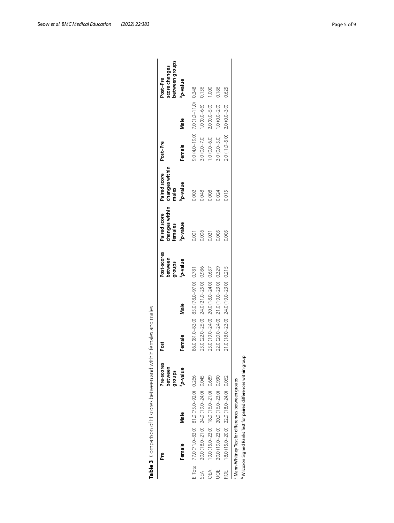| ە<br>م |                                                  | Pre-scores<br>between<br>groups | Post             |                                         | Post-scores<br>between<br>groups | changes within<br>Paired score<br>females | changes within<br>Paired score<br>males | Post-Pre        |                                      | between groups<br>score changes<br>Post-Pre |
|--------|--------------------------------------------------|---------------------------------|------------------|-----------------------------------------|----------------------------------|-------------------------------------------|-----------------------------------------|-----------------|--------------------------------------|---------------------------------------------|
| Female | Nale                                             | a <sub>p-value</sub>            | Female           | Male                                    | anlev-d <sub>e</sub>             | p-value                                   | b-value                                 | Female          | Male                                 | a <sub>p-value</sub>                        |
|        | El Total 77.0 (71.0-83.0) 81.0 (73.0-92.0) 0.266 |                                 |                  | 86.0 (81.0-83.0) 85.0 (78.0-97.0) 0.781 |                                  | 0.001                                     | 0.002                                   |                 | $0.0(4.0-19.0)$ 7.0 (1.0-11.0) 0.348 |                                             |
| SEA    | 20.0 (18.0-21.0) 24.0 (19.0-24.0) 0.045          |                                 |                  | 23.0 (22.0-25.0) 24.0 (21.0-25.0) 0.986 |                                  | 0.006                                     | 0.048                                   |                 | $1.0 (0.0 - 7.0)$ $1.0 (0.0 - 6.6)$  | 0.136                                       |
| OEA    | 19.0 (15.0-23.0) 18.0 (16.0-21.0) 0.689          |                                 |                  | 23.0 (19.0-24.0) 20.0 (18.0-24.0) 0.637 |                                  | 0.021                                     | 0.008                                   | $.0(0.0 - 6.0)$ | $2.0(0.0 - 5.0)$                     | 1.000                                       |
| 5OL    | 20.0 (19.0-23.0) 20.0 (16.0-23.0) 0.930          |                                 | 22.0 (20.0-24.0) | 21.0 (19.0-23.0) 0.329                  |                                  | 0.005                                     | 0.024                                   | $0.0 - 5.0$     | $1.0 (0.0 - 2.0)$                    | 0.186                                       |
| ROE    | 18.0 (15.0-20.0) 22.0 (18.0-24.0) 0.062          |                                 |                  | 21.0 (18.0-23.0) 24.0 (19.0-23.0) 0.215 |                                  | 0.005                                     | 0.015                                   | $0.2-5.0$       | $2.0(0.0 - 3.0)$                     | 0.625                                       |

<span id="page-4-0"></span>

| I<br>١           |
|------------------|
| Ï                |
| ¢<br>ţ           |
| ī                |
| I                |
| Ì                |
| ł<br>١<br>Ì<br>١ |
| Ì                |
| ł                |
| ١<br>I           |
| ţ                |
| ł                |
|                  |
|                  |
| ١<br>١           |
| ļ                |
| Ì                |
| I                |
| Ì<br>١<br>ł<br>j |
|                  |
| i<br>Ì<br>J      |
| ļ<br>١           |
| ł<br>١           |
| ۱<br>Ì<br>J<br>j |
| Ì<br>١<br>I      |
| i<br>ł<br>١      |
| Ï<br>l<br>Ì      |
| ï                |
| Ì<br>١           |
| S                |
| Ì<br>١<br>ł<br>١ |
| j                |
| I<br>S           |
|                  |
| ١                |
| t<br>١           |
| ı<br>١           |
| l<br>ļ           |
|                  |
| I<br>ı           |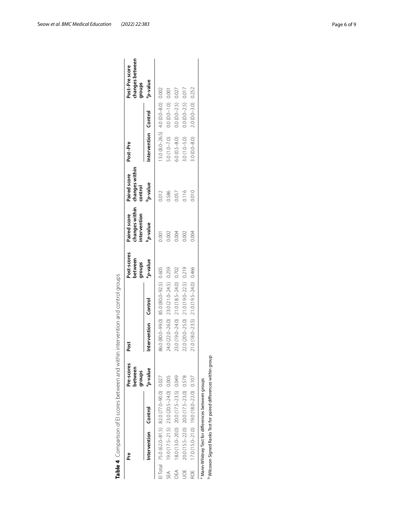| ۹ř  |                      |                                                  | Pre-scores<br>between<br>groups | Post                 |                                         | Post-scores<br>between<br>groups | changes within<br>Paired score<br>intervention | changes within<br>Paired score<br>control | Post-Pre                                    |                         | changes between<br>Post-Prescore<br>groups |
|-----|----------------------|--------------------------------------------------|---------------------------------|----------------------|-----------------------------------------|----------------------------------|------------------------------------------------|-------------------------------------------|---------------------------------------------|-------------------------|--------------------------------------------|
|     | Intervention Control |                                                  | a <sub>p-value</sub>            | Intervention Control |                                         | a <sub>p-value</sub>             | b-value                                        | b <sub>r</sub> value                      | Intervention Control                        |                         | a <sub>p-value</sub>                       |
|     |                      | El Total 75.0 (62.0-81.5) 82.0 (77.0-90.0) 0.027 |                                 |                      | 86.0 (80.0-99.0) 85.0 (80.0-92.5) 0.605 |                                  | 0.001                                          | 0.012                                     | $13.0 (8.0 - 26.5)$ 4.0 $(0.0 - 8.0)$ 0.002 |                         |                                            |
| SEA |                      | $19.0(17.5-21.5)$ 23.0 $(20.5-24.0)$ 0.005       |                                 |                      | 24.0 (22.0-26.0) 23.0 (21.0-24.5) 0.259 |                                  | 0.002                                          | 0.586                                     | $5.0(1.0 - 7.0)$                            | $0.0 (0.0 - 1.0) 0.001$ |                                            |
| DEA |                      | 18.0 (13.0-20.0) 20.0 (17.5-23.5) 0.049          |                                 |                      | 23.0 (19.0-24.0) 21.0 (18.5-24.0) 0.702 |                                  | D.004                                          | <b>J.057</b>                              | $6.0 (0.5 - 8.0)$                           | $0.0 (0.0 - 2.5) 0.027$ |                                            |
| Š   |                      | 20.0 (15.5-22.0) 20.0 (17.5-23.0) 0.578          |                                 |                      | 22.0 (20.0-25.0) 21.0 (19.0-22.5) 0.219 |                                  | 000 <sub>1</sub>                               | 0.116                                     | $3.0(1.0 - 5.0)$                            | $0.0 (0.0 - 2.5) 0.017$ |                                            |
| ROE |                      | 17.0 (15.0-21.0) 19.0 (18.0-22.0) 0.107          |                                 |                      | 21.0 (18.0-23.5) 21.0 (19.5-24.0) 0.466 |                                  | 0.004                                          | 0.010                                     | $8.0 (0.0 - 8.0)$                           | $2.0(0.0-3.0) 0.252$    |                                            |

<span id="page-5-0"></span>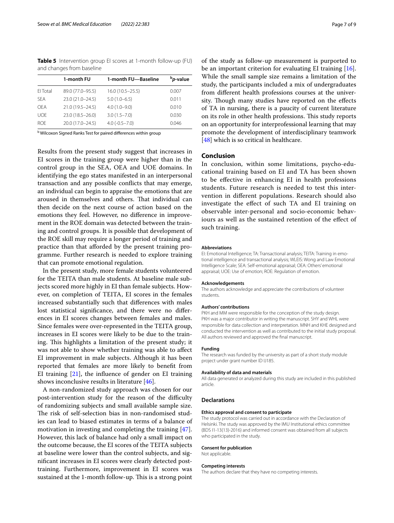<span id="page-6-0"></span>**Table 5** Intervention group EI scores at 1-month follow-up (FU) and changes from baseline

|            | 1-month FU         | 1-month FU-Baseline | <sup>b</sup> p-value |
|------------|--------------------|---------------------|----------------------|
| FI Total   | 89.0 (77.0-95.5)   | $16.0(10.5 - 25.5)$ | 0.007                |
| <b>SFA</b> | 23.0 (21.0-24.5)   | $5.0(1.0-6.5)$      | 0.011                |
| OFA        | 21.0 (19.5 - 24.5) | $4.0(1.0-9.0)$      | 0.010                |
| <b>UOF</b> | 23.0 (18.5 - 26.0) | $3.0(1.5 - 7.0)$    | 0.030                |
| <b>ROF</b> | 20.0 (17.0-24.5)   | $4.0 (-0.5 - 7.0)$  | 0.046                |
|            |                    |                     |                      |

<sup>b</sup> Wilcoxon Signed Ranks Test for paired differences within group

Results from the present study suggest that increases in EI scores in the training group were higher than in the control group in the SEA, OEA and UOE domains. In identifying the ego states manifested in an interpersonal transaction and any possible conficts that may emerge, an individual can begin to appraise the emotions that are aroused in themselves and others. That individual can then decide on the next course of action based on the emotions they feel. However, no diference in improvement in the ROE domain was detected between the training and control groups. It is possible that development of the ROE skill may require a longer period of training and practice than that aforded by the present training programme. Further research is needed to explore training that can promote emotional regulation.

In the present study, more female students volunteered for the TEITA than male students. At baseline male subjects scored more highly in EI than female subjects. However, on completion of TEITA, EI scores in the females increased substantially such that diferences with males lost statistical signifcance, and there were no diferences in EI scores changes between females and males. Since females were over-represented in the TEITA group, increases in EI scores were likely to be due to the training. This highlights a limitation of the present study; it was not able to show whether training was able to afect EI improvement in male subjects. Although it has been reported that females are more likely to beneft from EI training  $[21]$ , the influence of gender on EI training shows inconclusive results in literature [\[46\]](#page-8-3).

A non-randomized study approach was chosen for our post-intervention study for the reason of the difficulty of randomizing subjects and small available sample size. The risk of self-selection bias in non-randomised studies can lead to biased estimates in terms of a balance of motivation in investing and completing the training [\[47](#page-8-4)]. However, this lack of balance had only a small impact on the outcome because, the EI scores of the TEITA subjects at baseline were lower than the control subjects, and signifcant increases in EI scores were clearly detected posttraining. Furthermore, improvement in EI scores was sustained at the 1-month follow-up. This is a strong point

of the study as follow-up measurement is purported to be an important criterion for evaluating EI training [\[16](#page-7-12)]. While the small sample size remains a limitation of the study, the participants included a mix of undergraduates from diferent health professions courses at the university. Though many studies have reported on the effects of TA in nursing, there is a paucity of current literature on its role in other health professions. This study reports on an opportunity for interprofessional learning that may promote the development of interdisciplinary teamwork [[48\]](#page-8-5) which is so critical in healthcare.

### **Conclusion**

In conclusion, within some limitations, psycho-educational training based on EI and TA has been shown to be efective in enhancing EI in health professions students. Future research is needed to test this intervention in diferent populations. Research should also investigate the efect of such TA and EI training on observable inter-personal and socio-economic behaviours as well as the sustained retention of the efect of such training.

#### **Abbreviations**

EI: Emotional Intelligence; TA: Transactional analysis; TEITA: Training in emotional intelligence and transactional analysis; WLEIS: Wong and Law Emotional Intelligence Scale; SEA: Self-emotional appraisal; OEA: Others' emotional appraisal; UOE: Use of emotion; ROE: Regulation of emotion.

#### **Acknowledgements**

The authors acknowledge and appreciate the contributions of volunteer students.

#### **Authors' contributions**

PKH and MM were responsible for the conception of the study design. PKH was a major contributor in writing the manuscript. SHY and WHL were responsible for data collection and interpretation. MNH and KHE designed and conducted the intervention as well as contributed to the initial study proposal. All authors reviewed and approved the fnal manuscript.

#### **Funding**

The research was funded by the university as part of a short study module project under grant number ID IJ185.

#### **Availability of data and materials**

All data generated or analyzed during this study are included in this published article.

#### **Declarations**

#### **Ethics approval and consent to participate**

The study protocol was carried out in accordance with the Declaration of Helsinki. The study was approved by the IMU Institutional ethics committee (BDS I1-13(13)-2016) and informed consent was obtained from all subjects who participated in the study.

#### **Consent for publication**

Not applicable.

#### **Competing interests**

The authors declare that they have no competing interests.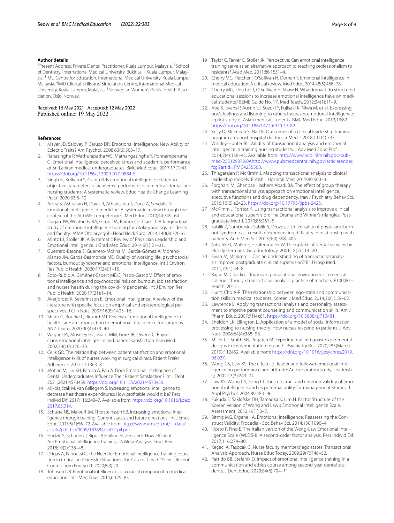#### **Author details**

<sup>1</sup> Present Address: Private Dental Practitioner, Kuala Lumpur, Malaysia. <sup>2</sup> School of Dentistry, International Medical University, Bukit Jalil, Kuala Lumpur, Malaysia. <sup>3</sup> IMU Centre for Education, International Medical University, Kuala Lumpur, Malaysia. <sup>4</sup>IMU Clinical Skills and Simulation Centre, International Medical University, Kuala Lumpur, Malaysia. <sup>5</sup>Norwegian Women's Public Health Association, Oslo, Norway.

## Received: 16 May 2021 Accepted: 12 May 2022

#### **References**

- <span id="page-7-0"></span>Mayer JD, Salovey P, Caruso DR. Emotional Intelligence: New Ability or Eclectic Traits? Am Psychol. 2008;63(6):503–17.
- <span id="page-7-1"></span>2. Ranasinghe P, Wathurapatha WS, Mathangasinghe Y, Ponnamperuma G. Emotional intelligence, perceived stress and academic performance of Sri Lankan medical undergraduates. BMC Med Educ. 2017;17(1):41. [https://doi.org/10.1186/s12909-017-0884-5.](https://doi.org/10.1186/s12909-017-0884-5)
- <span id="page-7-2"></span>3. Singh N, Kulkarni S, Gupta R. Is emotional intelligence related to objective parameters of academic performance in medical, dental, and nursing students: A systematic review. Educ Health: Change Learning Pract. 2020;33:8–12.
- <span id="page-7-3"></span>4. Arora S, Ashrafan H, Davis R, Athanasiou T, Darzi A, Sevdalis N. Emotional intelligence in medicine: A systematic review through the context of the ACGME competencies. Med Educ. 2010;44:749–64.
- 5. Dugan JW, Weatherly RA, Girod DA, Barber CE, Tsue TT. A longitudinal study of emotional intelligence training for otolaryngology residents and faculty. JAMA Otolaryngol - Head Neck Surg. 2014;140(8):720–6.
- <span id="page-7-4"></span>6. Mintz LJ, Stoller JK. A Systematic Review of Physician Leadership and Emotional Intelligence. J Grad Med Educ. 2014;6(1):21–31.
- <span id="page-7-5"></span>7. Guerrero-Barona E, Guerrero-Molina M, García-Gómez A, Moreno-Manso JM, García-Baamonde ME. Quality of working life, psychosocial factors, burnout syndrome and emotional intelligence. Int J Environ Res Public Health. 2020;17(24):1–15.
- <span id="page-7-6"></span>Soto-Rubio A, Giménez-Espert MDC, Prado-Gascó V. Effect of emotional intelligence and psychosocial risks on burnout, job satisfaction, and nurses' health during the covid-19 pandemic. Int J Environ Res Public Health. 2020;17(21):1–14.
- <span id="page-7-7"></span>9. Akerjordet K, Severinsson E. Emotional intelligence: A review of the literature with specifc focus on empirical and epistemological perspectives. J Clin Nurs. 2007;16(8):1405–16.
- <span id="page-7-8"></span>10 Sharp G, Bourke L, Rickard MJ. Review of emotional intelligence in health care: an introduction to emotional intelligence for surgeons. ANZ J Surg. 2020;90(4):433–40.
- <span id="page-7-9"></span>11. Wagner PJ, Moseley GC, Grant MM, Gore JR, Owens C. Physicians' emotional intelligence and patient satisfaction. Fam Med. 2002;34(10):326–30.
- 12. Celik GO. The relationship between patient satisfaction and emotional intelligence skills of nurses working in surgical clinics. Patient Prefer Adherence. 2017;11:1363–8.
- 13. Mohan M, Lin KH, Parolia A, Pau A. Does Emotional Intelligence of Dental Undergraduates Infuence Their Patient Satisfaction? Int J Dent. 2021;2021:4573459. [https://doi.org/10.1155/2021/4573459.](https://doi.org/10.1155/2021/4573459)
- <span id="page-7-10"></span>14 Mikolajczak M, Van Bellegem S. Increasing emotional intelligence to decrease healthcare expenditures: How proftable would it be? Pers Individ Dif. 2017;116:343–7. Available from: [https://doi.org/10.1016/j.paid.](https://doi.org/10.1016/j.paid.2017.05.014) [2017.05.014](https://doi.org/10.1016/j.paid.2017.05.014).
- <span id="page-7-11"></span>15. Schutte NS, Malouff JM, Thorsteinsson EB. Increasing emotional intelligence through training: Current status and future directions. Int J Emot Educ. 2013;5(1):56–72. Available from: [http://www.um.edu.mt/\\_\\_data/](http://www.um.edu.mt/__data/assets/pdf_file/0005/183884/vol5i1p4.pdf) [assets/pdf\\_fle/0005/183884/vol5i1p4.pdf](http://www.um.edu.mt/__data/assets/pdf_file/0005/183884/vol5i1p4.pdf).
- <span id="page-7-12"></span>16. Hodzic S, Scharfen J, Ripoll P, Holling H, Zenasni F. How Efficient Are Emotional Intelligence Trainings: A Meta-Analysis. Emot Rev. 2018;10(2):138–48.
- <span id="page-7-13"></span>17. Drigas A, Papoutsi C. The Need for Emotional Intelligence Training Education in Critical and Stressful Situations: The Case of Covid-19. Int J Recent Contrib from Eng Sci IT. 2020;8(3):20.
- <span id="page-7-14"></span>18 Johnson DR. Emotional intelligence as a crucial component to medical education. Int J Med Educ. 2015;6:179–83.
- <span id="page-7-15"></span>19 Taylor C, Farver C, Stoller JK. Perspective: Can emotional intelligence training serve as an alternative approach to teaching professionalism to residents? Acad Med. 2011;86:1551–4.
- <span id="page-7-16"></span>20. Cherry MG, Fletcher I, O'Sullivan H, Dornan T. Emotional intelligence in medical education: A critical review. Med Educ. 2014;48(5):468–78.
- <span id="page-7-17"></span>21 Cherry MG, Fletcher I, O'Sullivan H, Shaw N. What impact do structured educational sessions to increase emotional intelligence have on medical students? BEME Guide No. 17. Med Teach. 2012;34(1):11–9.
- <span id="page-7-18"></span>22. Abe K, Evans P, Austin EJ, Suzuki Y, Fujisaki K, Niwa M, et al. Expressing one's feelings and listening to others increases emotional intelligence: a pilot study of Asian medical students. BMC Med Educ. 2013;13:82. <https://doi.org/10.1186/1472-6920-13-82>.
- <span id="page-7-19"></span>23. Kelly D, McErlean S, Naff K. Outcomes of a clinical leadership training program amongst hospital doctors. Ir Med J. 2018;111(4):733.
- <span id="page-7-20"></span>24. Whitley-Hunter BL. Validity of transactional analysis and emotional intelligence in training nursing students. J Adv Med Educ Prof. 2014;2(4):138–45. Available from: [http://www.ncbi.nlm.nih.gov/pub](http://www.ncbi.nlm.nih.gov/pubmed/25512937%0A)[med/25512937%0A](http://www.ncbi.nlm.nih.gov/pubmed/25512937%0A)[http://www.pubmedcentral.nih.gov/articlerender.](http://www.pubmedcentral.nih.gov/articlerender.fcgi?artid=PMC4235560) fcgi?artid=[PMC4235560.](http://www.pubmedcentral.nih.gov/articlerender.fcgi?artid=PMC4235560)
- <span id="page-7-21"></span>25. Thiagarajan P, McKimm J. Mapping transactional analysis to clinical leadership models. British J Hospital Med. 2019;80:600–4.
- <span id="page-7-22"></span>26. Forghani M, Ghanbari Hashem Abadi BA. The effect of group therapy with transactional analysis approach on emotional intelligence, executive functions and drug dependency. Iran J Psychiatry Behav Sci. 2016;10(2):e2423. <https://doi.org/10.17795/ijpbs-2423>.
- <span id="page-7-23"></span>27 McKimm J, Forrest K. Using transactional analysis to improve clinical and educational supervision: The Drama and Winner's triangles. Postgraduate Med J. 2010;86:261–5.
- <span id="page-7-24"></span>28. Sablik Z, Samborska-Sablik A, Drozdz J. Universality of physicians' burnout syndrome as a result of experiencing difficulty in relationship with patients. Arch Med Sci. 2013;9(3):398–403.
- <span id="page-7-25"></span>29. Nitschke I, Müller F, Hopfenmüller W. The uptake of dental services by elderly Germans. Gerodontology. 2001;18(2):114–20.
- <span id="page-7-26"></span>30. Sivan M, McKimm J. Can an understanding of transactional analysis improve postgraduate clinical supervision? Br J Hosp Med. 2011;72(1):44–8.
- <span id="page-7-27"></span>31. Rajan M, Chacko T. Improving educational environment in medical colleges through transactional analysis practice of teachers. F1000Research. 2012;1.
- <span id="page-7-28"></span>32. Hur Y, Cho A-R. The relationship between ego-state and communication skills in medical students. Korean J Med Educ. 2014;26(1):59–62.
- <span id="page-7-29"></span>33. Lawrence L. Applying transactional analysis and personality assessment to improve patient counseling and communication skills. Am J Pharm Educ. 2007;71(4):81. <https://doi.org/10.5688/aj710481>.
- <span id="page-7-30"></span>34. Sheldon LK, Ellington L. Application of a model of social information processing to nursing theory: How nurses respond to patients. J Adv Nurs. 2008;64(4):388–98.
- <span id="page-7-31"></span>35. Miller CJ, Smith SN, Pugatch M. Experimental and quasi-experimental designs in implementation research. Psychiatry Res. 2020;283(March 2019):112452. Available from: [https://doi.org/10.1016/j.psychres.2019.](https://doi.org/10.1016/j.psychres.2019.06.027) [06.027.](https://doi.org/10.1016/j.psychres.2019.06.027)
- <span id="page-7-32"></span>36. Wong CS, Law KS. The effects of leader and follower emotional intelligence on performance and attitude: An exploratory study. Leadersh Q. 2002;13(3):243–74.
- <span id="page-7-33"></span>37 Law KS, Wong CS, Song LJ. The construct and criterion validity of emotional intelligence and its potential utility for management studies. J Appl Psychol. 2004;89:483–96.
- 38. Fukuda E, Saklofske DH, Tamaoka K, Lim H. Factor Structure of the Korean Version of Wong and Law's Emotional Intelligence Scale. Assessment. 2012;19(1):3–7.
- 39. Bitmiş MG, Ergeneli A. Emotional Intelligence: Reassessing the Construct Validity. Procedia - Soc Behav Sci. 2014;150:1090–4.
- <span id="page-7-34"></span>40. Iliceto P, Fino E. The Italian version of the Wong-Law Emotional Intelligence Scale (WLEIS-I): A second-order factor analysis. Pers Individ Dif. 2017;116:274–80.
- <span id="page-7-35"></span>41. Keçeci A, Taşocak G. Nurse faculty members' ego states: Transactional Analysis Approach. Nurse Educ Today. 2009;29(7):746–52.
- <span id="page-7-36"></span>42. Partido BB, Stefanik D. Impact of emotional intelligence training in a communication and ethics course among second-year dental students. J Dent Educ. 2020;84(6):704–11.